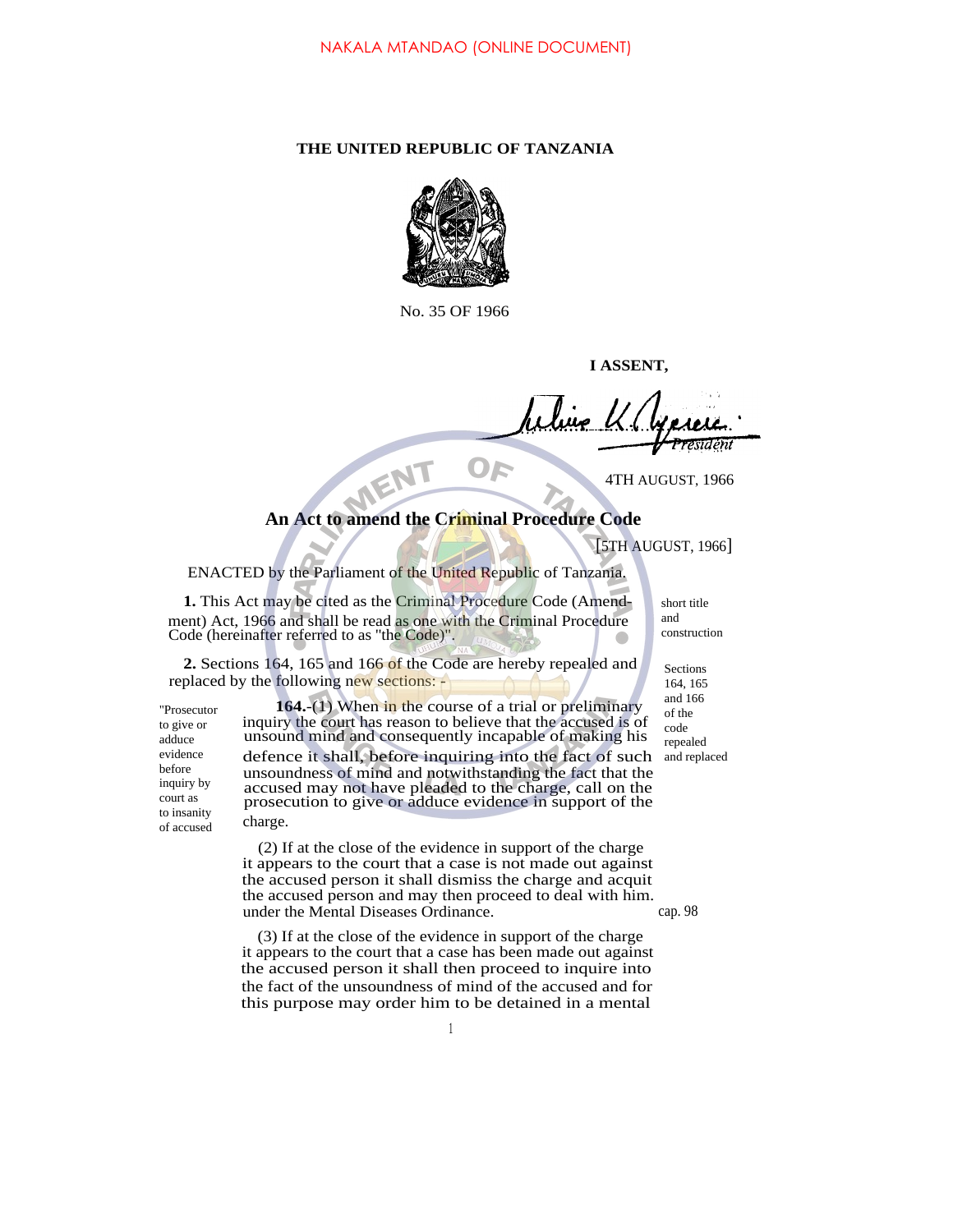## **THE UNITED REPUBLIC OF TANZANIA**



No. 35 OF 1966

**I ASSENT,**

4TH AUGUST, 1966

## **An Act to amend the Criminal Procedure Code**

[5TH AUGUST, 1966]

ENACTED by the Parliament of the United Republic of Tanzania.

NENT

**1.** This Act may be cited as the Criminal Procedure Code (Amendment) Act, 1966 and shall be read as one with the Criminal Procedure Code (hereinafter referred to as ''the Code)".

**2.** Sections 164, 165 and 166 of the Code are hereby repealed and replaced by the following new sections: -

"Prosecutor to give or adduce evidence before inquiry by court as to insanity of accused

**164.**-(1) When in the course of a trial or preliminary inquiry the court has reason to believe that the accused is of unsound mind and consequently incapable of making his defence it shall, before inquiring into the fact of such

unsoundness of mind and notwithstanding the fact that the accused may not have pleaded to the charge, call on the prosecution to give or adduce evidence in support of the charge.

(2) If at the close of the evidence in support of the charge it appears to the court that a case is not made out against the accused person it shall dismiss the charge and acquit the accused person and may then proceed to deal with him. under the Mental Diseases Ordinance. cap. 98

(3) If at the close of the evidence in support of the charge it appears to the court that a case has been made out against the accused person it shall then proceed to inquire into the fact of the unsoundness of mind of the accused and for this purpose may order him to be detained in a mental

short title and construction

Sections 164, 165 and 166 of the code repealed and replaced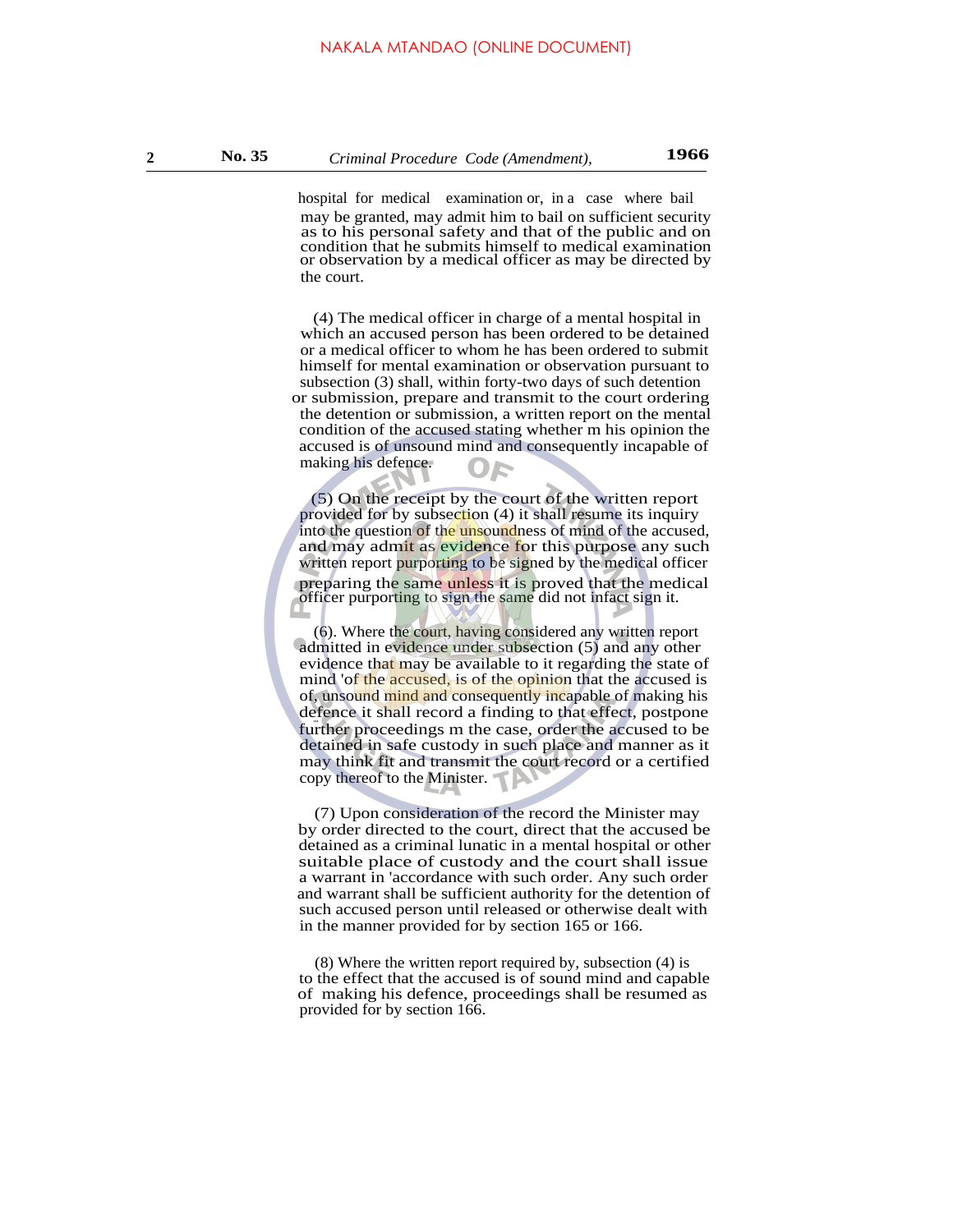may be granted, may admit him to bail on sufficient security as to his personal safety and that of the public and on condition that he submits himself to medical examination or observation by a medical officer as may be directed by the court. hospital for medical examination or, in a case where bail

(4) The medical officer in charge of a mental hospital in which an accused person has been ordered to be detained or a medical officer to whom he has been ordered to submit himself for mental examination or observation pursuant to subsection (3) shall, within forty-two days of such detention or submission, prepare and transmit to the court ordering the detention or submission, a written report on the mental condition of the accused stating whether m his opinion the accused is of unsound mind and consequently incapable of making his defence.

(5) On the receipt by the court of the written report provided for by subsection (4) it shall resume its inquiry into the question of the unsoundness of mind of the accused, and may admit as evidence for this purpose any such written report purporting to be signed by the medical officer preparing the same unless it is proved that the medical officer purporting to sign the same did not infact sign it.

(6). Where the court, having considered any written report admitted in evidence under subsection (5) and any other evidence that may be available to it regarding the state of mind 'of the accused, is of the opinion that the accused is of, unsound mind and consequently incapable of making his defence it shall record a finding to that effect, postpone further proceedings m the case, order the accused to be detained in safe custody in such place and manner as it may think fit and transmit the court record or a certified copy thereof to the Minister.

(7) Upon consideration of the record the Minister may by order directed to the court, direct that the accused be detained as a criminal lunatic in a mental hospital or other suitable place of custody and the court shall issue a warrant in 'accordance with such order. Any such order and warrant shall be sufficient authority for the detention of such accused person until released or otherwise dealt with in the manner provided for by section 165 or 166.

(8) Where the written report required by, subsection (4) is to the effect that the accused is of sound mind and capable of making his defence, proceedings shall be resumed as provided for by section 166.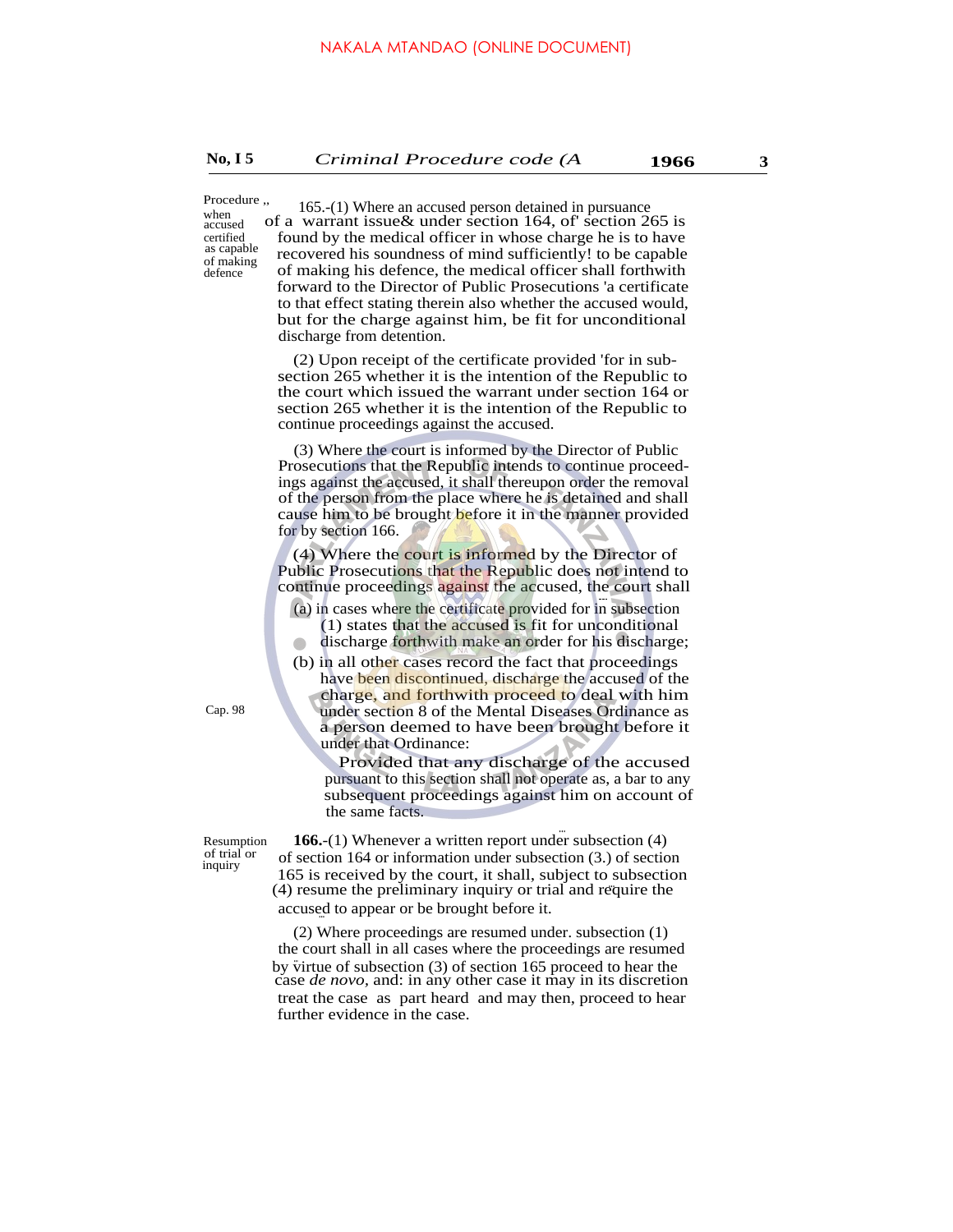Procedure ,, when accused certified as capable of making defence

of a warrant issue& under section 164, of' section 265 is found by the medical officer in whose charge he is to have recovered his soundness of mind sufficiently! to be capable of making his defence, the medical officer shall forthwith forward to the Director of Public Prosecutions 'a certificate to that effect stating therein also whether the accused would, but for the charge against him, be fit for unconditional discharge from detention. 165.-(1) Where an accused person detained in pursuance

(2) Upon receipt of the certificate provided 'for in subsection 265 whether it is the intention of the Republic to the court which issued the warrant under section 164 or section 265 whether it is the intention of the Republic to continue proceedings against the accused.

(3) Where the court is informed by the Director of Public Prosecutions that the Republic intends to continue proceedings against the accused, it shall thereupon order the removal of the person from the place where he is detained and shall cause him to be brought before it in the manner provided for by section 166.

(4) Where the court is informed by the Director of Public Prosecutions that the Republic does not intend to continue proceedings against the accused, the court shall

- (a) in cases where the certificate provided for in subsection (1) states that the accused is fit for unconditional
- discharge forthwith make an order for his discharge;

(b) in all other cases record the fact that proceedings have been discontinued, discharge the accused of the charge, and forthwith proceed to deal with him under section 8 of the Mental Diseases Ordinance as a person deemed to have been brought before it under that Ordinance:

Provided that any discharge of the accused pursuant to this section shall not operate as, a bar to any subsequent proceedings against him on account of the same facts.

Resumption of trial or inquiry

... **166.**-(1) Whenever a written report under subsection (4) of section 164 or information under subsection (3.) of section 165 is received by the court, it shall, subject to subsection ... (4) resume the preliminary inquiry or trial and require the accused to appear or be brought before it.

(2) Where proceedings are resumed under. subsection (1) the court shall in all cases where the proceedings are resumed by virtue of subsection (3) of section 165 proceed to hear the case *de novo,* and: in any other case it may in its discretion treat the case as part heard and may then, proceed to hear further evidence in the case.

Cap. 98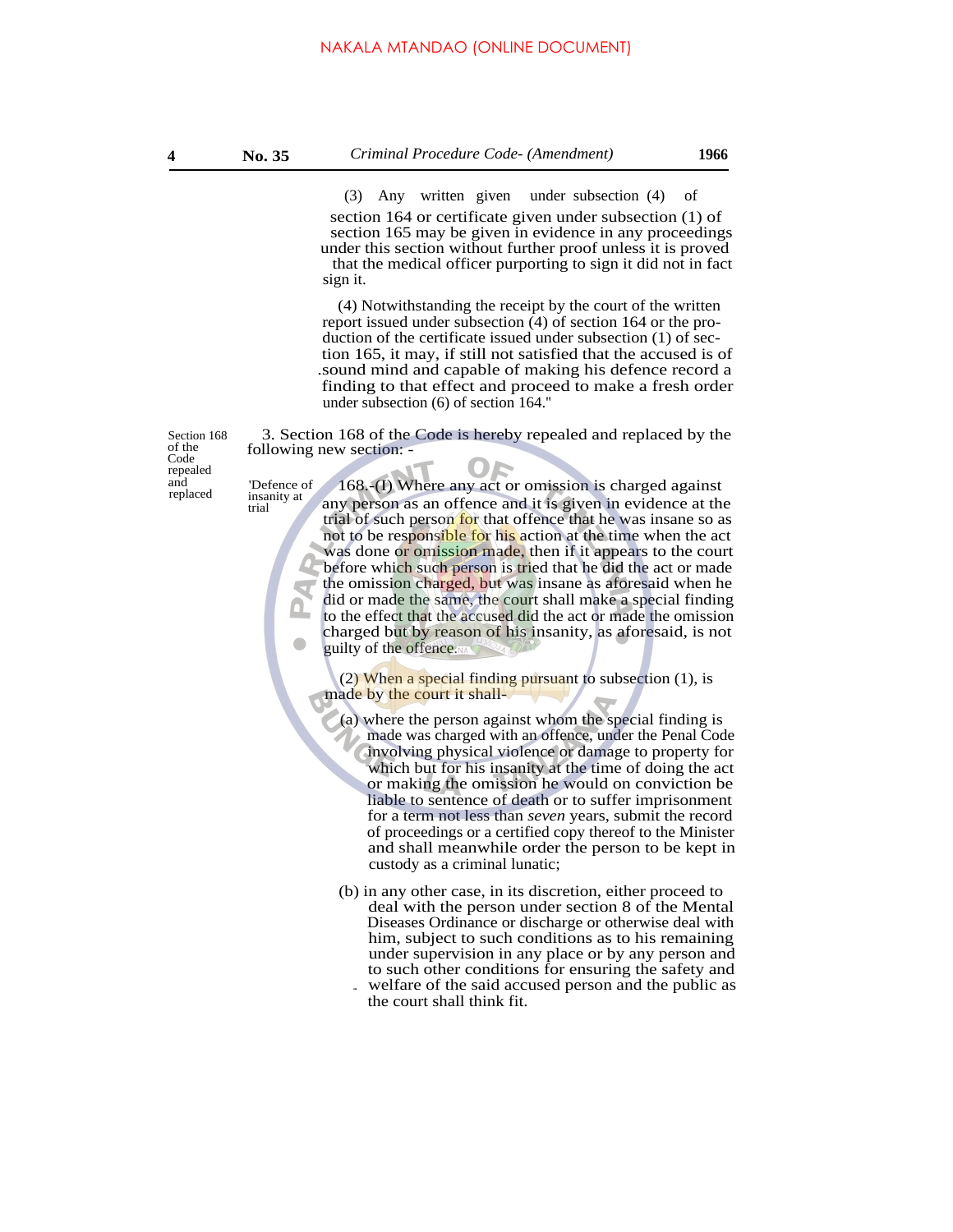section 164 or certificate given under subsection (1) of section 165 may be given in evidence in any proceedings under this section without further proof unless it is proved that the medical officer purporting to sign it did not in fact sign it. (3) Any written given under subsection (4) of

(4) Notwithstanding the receipt by the court of the written report issued under subsection (4) of section 164 or the production of the certificate issued under subsection (1) of section 165, it may, if still not satisfied that the accused is of .sound mind and capable of making his defence record a finding to that effect and proceed to make a fresh order under subsection (6) of section 164.''

Section 168 of the Code repealed

trial

3. Section 168 of the Code is hereby repealed and replaced by the following new section: -

and insanity at 168.-(I) Where any act or omission is charged against replaced insanity at any person as an offence and it is given in evidence at the trial of such person for that offence that he was insane so as not to be responsible for his action at the time when the act was done or omission made, then if it appears to the court before which such person is tried that he did the act or made the omission charged, but was insane as aforesaid when he did or made the same, the court shall make a special finding to the effect that the accused did the act or made the omission charged but by reason of his insanity, as aforesaid, is not guilty of the offence.

> (2) When a special finding pursuant to subsection  $(1)$ , is made by the court it shall-

(a) where the person against whom the special finding is made was charged with an offence, under the Penal Code involving physical violence or damage to property for which but for his insanity at the time of doing the act or making the omission he would on conviction be liable to sentence of death or to suffer imprisonment for a term not less than *seven* years, submit the record of proceedings or a certified copy thereof to the Minister and shall meanwhile order the person to be kept in custody as a criminal lunatic;

- (b) in any other case, in its discretion, either proceed to deal with the person under section 8 of the Mental Diseases Ordinance or discharge or otherwise deal with him, subject to such conditions as to his remaining under supervision in any place or by any person and to such other conditions for ensuring the safety and
	- welfare of the said accused person and the public as the court shall think fit. ...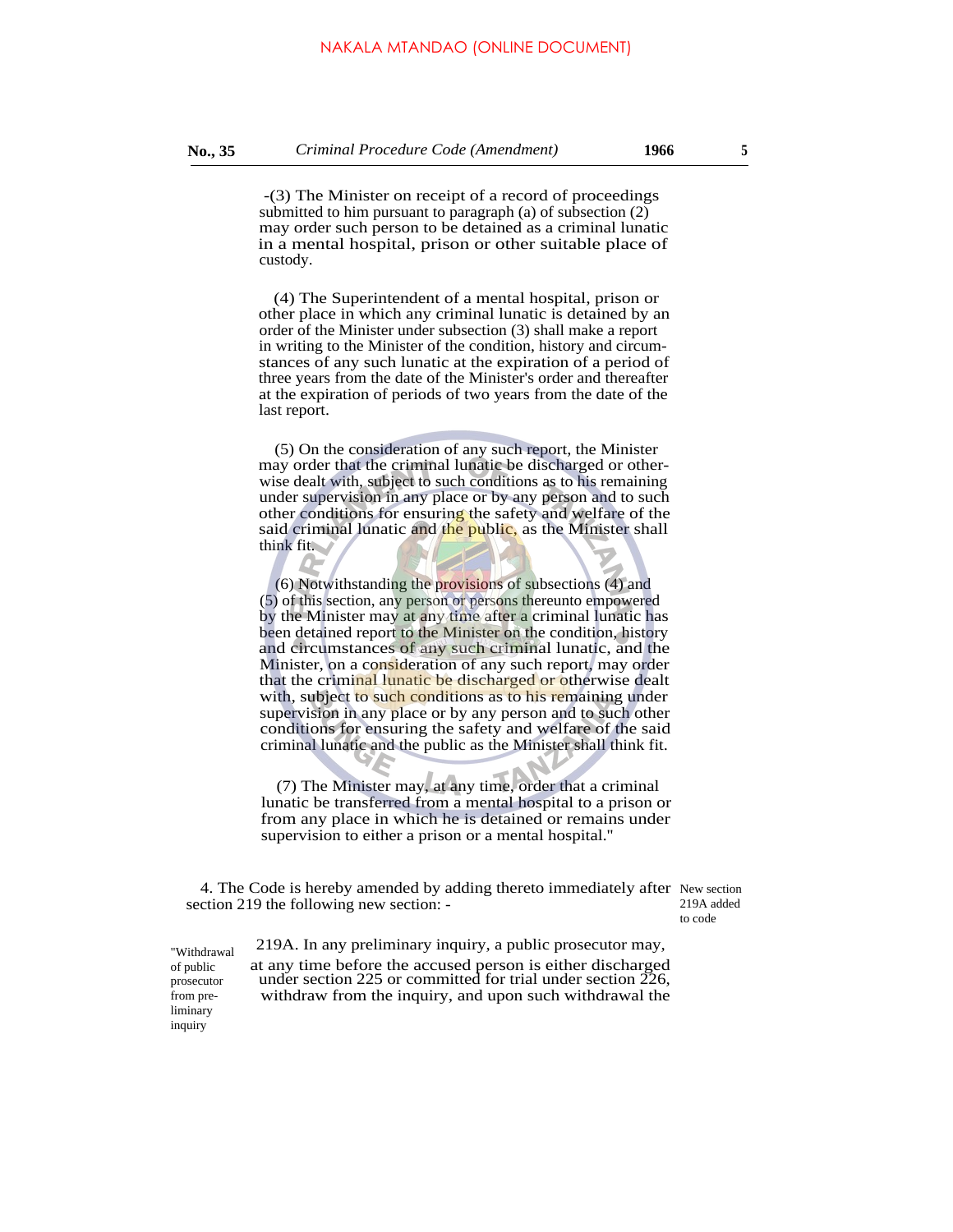-(3) The Minister on receipt of a record of proceedings submitted to him pursuant to paragraph (a) of subsection (2) may order such person to be detained as a criminal lunatic in a mental hospital, prison or other suitable place of custody.

(4) The Superintendent of a mental hospital, prison or other place in which any criminal lunatic is detained by an order of the Minister under subsection (3) shall make a report in writing to the Minister of the condition, history and circumstances of any such lunatic at the expiration of a period of three years from the date of the Minister's order and thereafter at the expiration of periods of two years from the date of the last report.

(5) On the consideration of any such report, the Minister may order that the criminal lunatic be discharged or otherwise dealt with, subject to such conditions as to his remaining under supervision in any place or by any person and to such other conditions for ensuring the safety and welfare of the said criminal lunatic and the public, as the Minister shall think fit.

(6) Notwithstanding the provisions of subsections (4) and (5) of this section, any person or persons thereunto empowered by the Minister may at any time after a criminal lunatic has been detained report to the Minister on the condition, history and circumstances of any such criminal lunatic, and the Minister, on a consideration of any such report, may order that the criminal lunatic be discharged or otherwise dealt with, subject to such conditions as to his remaining under supervision in any place or by any person and to such other conditions for ensuring the safety and welfare of the said criminal lunatic and the public as the Minister shall think fit.

(7) The Minister may, at any time, order that a criminal lunatic be transferred from a mental hospital to a prison or from any place in which he is detained or remains under supervision to either a prison or a mental hospital.''

4. The Code is hereby amended by adding thereto immediately after New section section 219 the following new section: -

219A added to code

"Withdrawal of public prosecutor from preliminary inquiry

 219A. In any preliminary inquiry, a public prosecutor may, at any time before the accused person is either discharged under section 225 or committed for trial under section 226, withdraw from the inquiry, and upon such withdrawal the